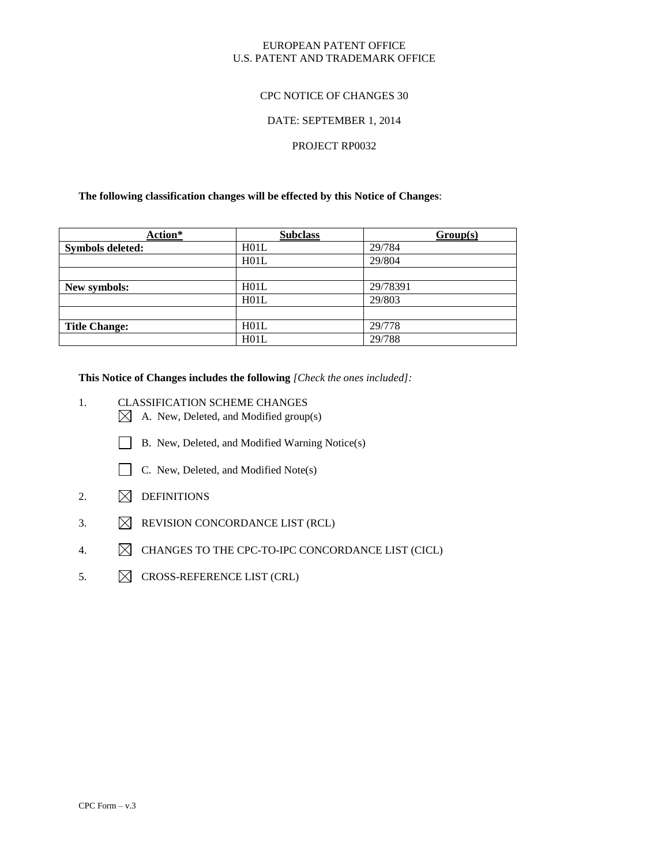#### EUROPEAN PATENT OFFICE U.S. PATENT AND TRADEMARK OFFICE

#### CPC NOTICE OF CHANGES 30

#### DATE: SEPTEMBER 1, 2014

#### PROJECT RP0032

#### **The following classification changes will be effected by this Notice of Changes**:

| Action*                 | <b>Subclass</b> | Group(s) |
|-------------------------|-----------------|----------|
| <b>Symbols deleted:</b> | H01L            | 29/784   |
|                         | H01L            | 29/804   |
|                         |                 |          |
| New symbols:            | H01L            | 29/78391 |
|                         | H01L            | 29/803   |
|                         |                 |          |
| <b>Title Change:</b>    | H01L            | 29/778   |
|                         | H01L            | 29/788   |

**This Notice of Changes includes the following** *[Check the ones included]:*

- 1. CLASSIFICATION SCHEME CHANGES
	- $\boxtimes$  A. New, Deleted, and Modified group(s)
	- B. New, Deleted, and Modified Warning Notice(s)
	- C. New, Deleted, and Modified Note(s)
- 2.  $\boxtimes$  DEFINITIONS
- 3.  $\boxtimes$  REVISION CONCORDANCE LIST (RCL)
- 4.  $\boxtimes$  CHANGES TO THE CPC-TO-IPC CONCORDANCE LIST (CICL)
- 5.  $\boxtimes$  CROSS-REFERENCE LIST (CRL)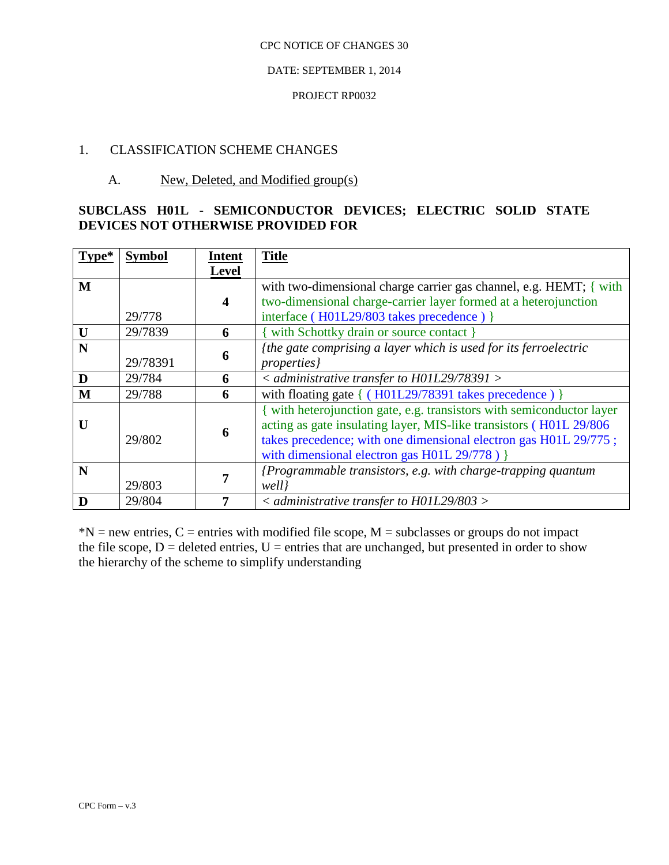### DATE: SEPTEMBER 1, 2014

#### PROJECT RP0032

# 1. CLASSIFICATION SCHEME CHANGES

# A. New, Deleted, and Modified group(s)

# **SUBCLASS H01L - SEMICONDUCTOR DEVICES; ELECTRIC SOLID STATE DEVICES NOT OTHERWISE PROVIDED FOR**

| $Type*$ | <b>Symbol</b> | <b>Intent</b>           | <b>Title</b>                                                                                                                                 |
|---------|---------------|-------------------------|----------------------------------------------------------------------------------------------------------------------------------------------|
|         |               | <b>Level</b>            |                                                                                                                                              |
| M       |               |                         | with two-dimensional charge carrier gas channel, e.g. HEMT; $\{$ with                                                                        |
|         |               | $\overline{\mathbf{4}}$ | two-dimensional charge-carrier layer formed at a heterojunction                                                                              |
|         | 29/778        |                         | interface (H01L29/803 takes precedence) }                                                                                                    |
| U       | 29/7839       | 6                       | with Schottky drain or source contact }                                                                                                      |
| N       |               | 6                       | {the gate comprising a layer which is used for its ferroelectric                                                                             |
|         | 29/78391      |                         | <i>properties</i> }                                                                                                                          |
| D       | 29/784        | 6                       | $\alpha$ < administrative transfer to H01L29/78391 >                                                                                         |
| M       | 29/788        | 6                       | with floating gate $\{ (H01L29/78391 \text{ takes precedence}) \}$                                                                           |
| U       |               |                         | { with heterojunction gate, e.g. transistors with semiconductor layer<br>acting as gate insulating layer, MIS-like transistors (H01L 29/806) |
|         | 29/802        | 6                       | takes precedence; with one dimensional electron gas H01L 29/775;                                                                             |
|         |               |                         | with dimensional electron gas H01L 29/778) }                                                                                                 |
| N       |               |                         |                                                                                                                                              |
|         |               |                         | {Programmable transistors, e.g. with charge-trapping quantum                                                                                 |
|         | 29/803        |                         | well}                                                                                                                                        |
| D       | 29/804        |                         | $\alpha$ < administrative transfer to H01L29/803 >                                                                                           |

 $*N$  = new entries, C = entries with modified file scope, M = subclasses or groups do not impact the file scope,  $D =$  deleted entries,  $U =$  entries that are unchanged, but presented in order to show the hierarchy of the scheme to simplify understanding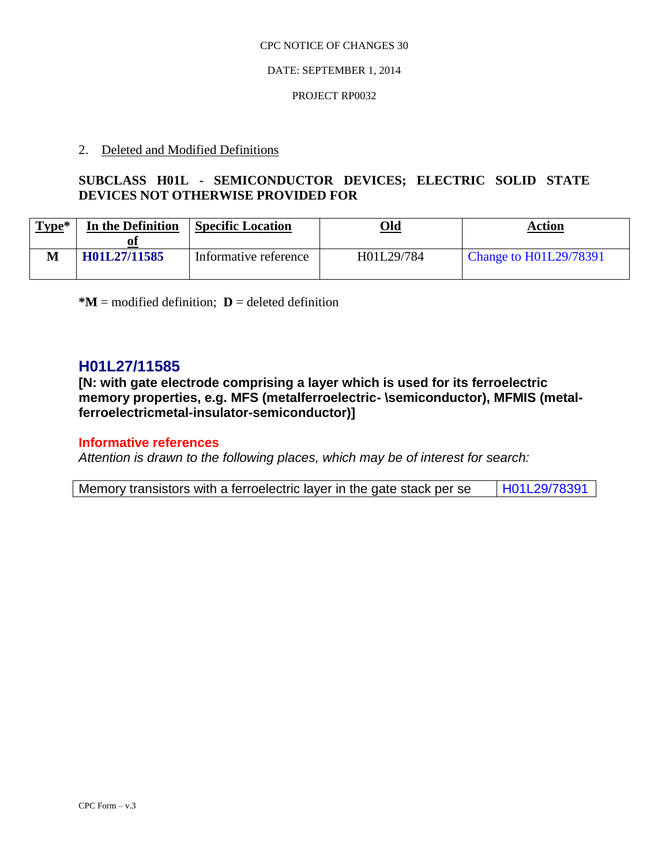#### DATE: SEPTEMBER 1, 2014

#### PROJECT RP0032

## 2. Deleted and Modified Definitions

# **SUBCLASS H01L - SEMICONDUCTOR DEVICES; ELECTRIC SOLID STATE DEVICES NOT OTHERWISE PROVIDED FOR**

| $Type*$ | In the Definition | <b>Specific Location</b> | Old        | Action                        |
|---------|-------------------|--------------------------|------------|-------------------------------|
|         | H01L27/11585      | Informative reference    | H01L29/784 | <b>Change to H01L29/78391</b> |

 $*M$  = modified definition; **D** = deleted definition

# **H01L27/11585**

**[N: with gate electrode comprising a layer which is used for its ferroelectric memory properties, e.g. MFS (metalferroelectric- \semiconductor), MFMIS (metalferroelectricmetal-insulator-semiconductor)]**

## **Informative references**

*Attention is drawn to the following places, which may be of interest for search:*

|  |  |  | Memory transistors with a ferroelectric layer in the gate stack per se |  | H01L29/78391 |
|--|--|--|------------------------------------------------------------------------|--|--------------|
|--|--|--|------------------------------------------------------------------------|--|--------------|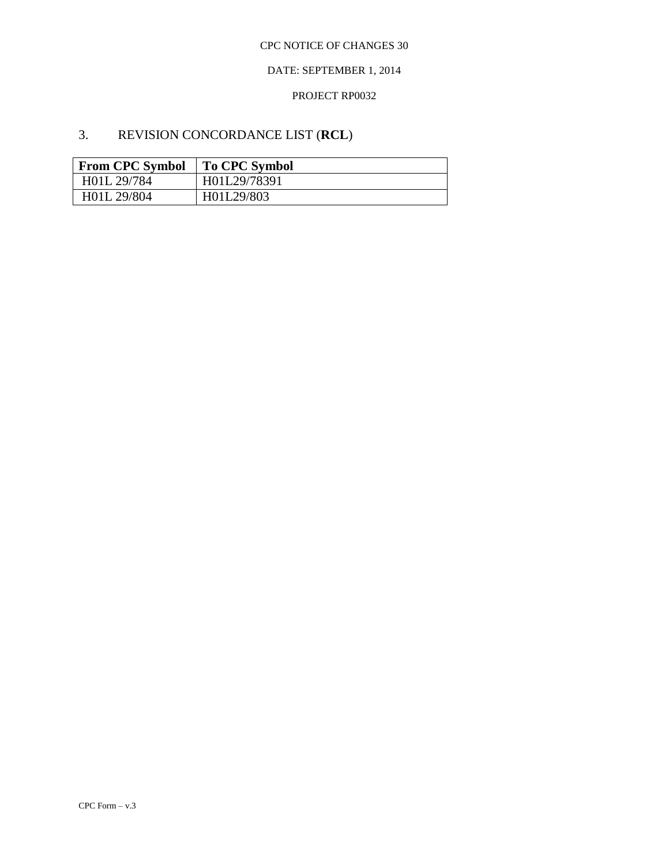## DATE: SEPTEMBER 1, 2014

#### PROJECT RP0032

# 3. REVISION CONCORDANCE LIST (**RCL**)

| <b>From CPC Symbol</b> | To CPC Symbol |
|------------------------|---------------|
| H01L 29/784            | H01L29/78391  |
| H01L 29/804            | H01L29/803    |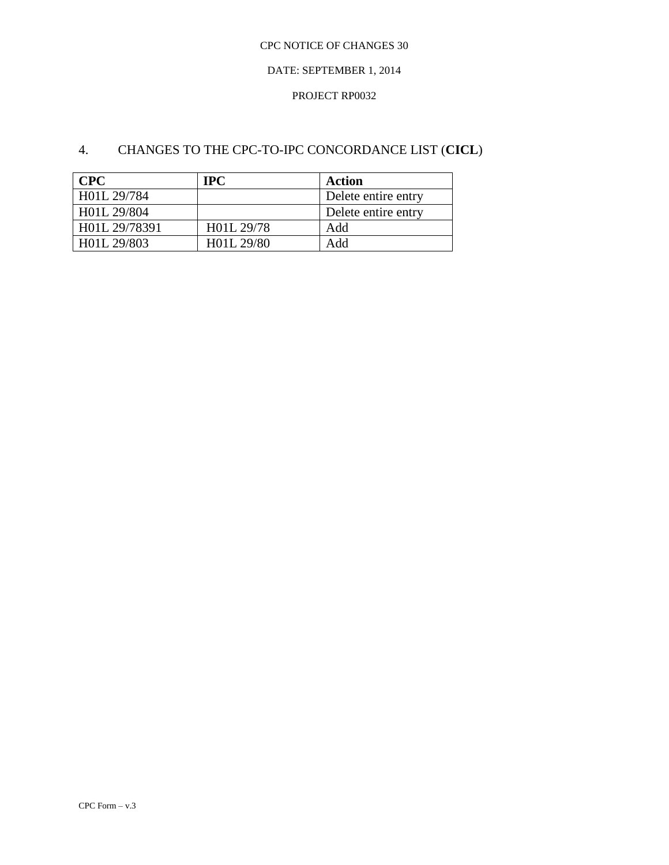### DATE: SEPTEMBER 1, 2014

### PROJECT RP0032

# 4. CHANGES TO THE CPC-TO-IPC CONCORDANCE LIST (**CICL**)

| <b>CPC</b>    | <b>TPC</b> | Action              |
|---------------|------------|---------------------|
| H01L 29/784   |            | Delete entire entry |
| H01L 29/804   |            | Delete entire entry |
| H01L 29/78391 | H01L 29/78 | Add                 |
| H01L 29/803   | H01L 29/80 | Add                 |